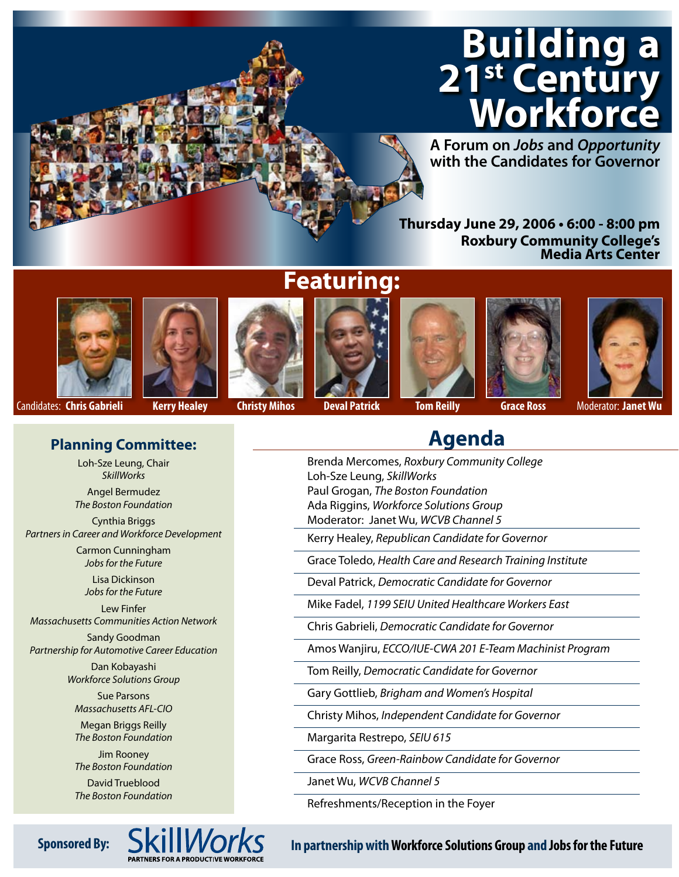# **Building a 21st Century Workforce**

**A Forum on** *Jobs* **and** *Opportunity* **with the Candidates for Governor**

**Thursday June 29, 2006 • 6:00 - 8:00 pm Roxbury Community College's Media Arts Center**















Candidates: **Chris Gabrieli Kerry Healey Christy Mihos Deval Patrick Tom Reilly Grace Ross** Moderator: **Janet Wu**

### **Agenda**

- Brenda Mercomes, *Roxbury Community College* Loh-Sze Leung, *SkillWorks* Paul Grogan, *The Boston Foundation*
- Ada Riggins, *Workforce Solutions Group* Moderator: Janet Wu, *WCVB Channel 5*

Kerry Healey, *Republican Candidate for Governor*

Grace Toledo, *Health Care and Research Training Institute*

Deval Patrick, *Democratic Candidate for Governor*

Mike Fadel, *1199 SEIU United Healthcare Workers East*

Chris Gabrieli, *Democratic Candidate for Governor*

Amos Wanjiru, *ECCO/IUE-CWA 201 E-Team Machinist Program*

Tom Reilly, *Democratic Candidate for Governor*

Gary Gottlieb, *Brigham and Women's Hospital*

Christy Mihos, *Independent Candidate for Governor*

Margarita Restrepo, *SEIU 615*

Grace Ross, *Green-Rainbow Candidate for Governor*

Janet Wu, *WCVB Channel 5*

Refreshments/Reception in the Foyer

*Jobs for the Future*

Lew Finfer *Massachusetts Communities Action Network*

**Planning Committee:** Loh-Sze Leung, Chair *SkillWorks* Angel Bermudez *The Boston Foundation* Cynthia Briggs *Partners in Career and Workforce Development* Carmon Cunningham *Jobs for the Future* Lisa Dickinson

Sandy Goodman *Partnership for Automotive Career Education*

> Dan Kobayashi *Workforce Solutions Group*

Sue Parsons *Massachusetts AFL-CIO*

Megan Briggs Reilly *The Boston Foundation*

Jim Rooney *The Boston Foundation*

David Trueblood *The Boston Foundation*



Sponsored By: SKIII*VVOIKS* In partnership with Workforce Solutions Group and Jobs for the Future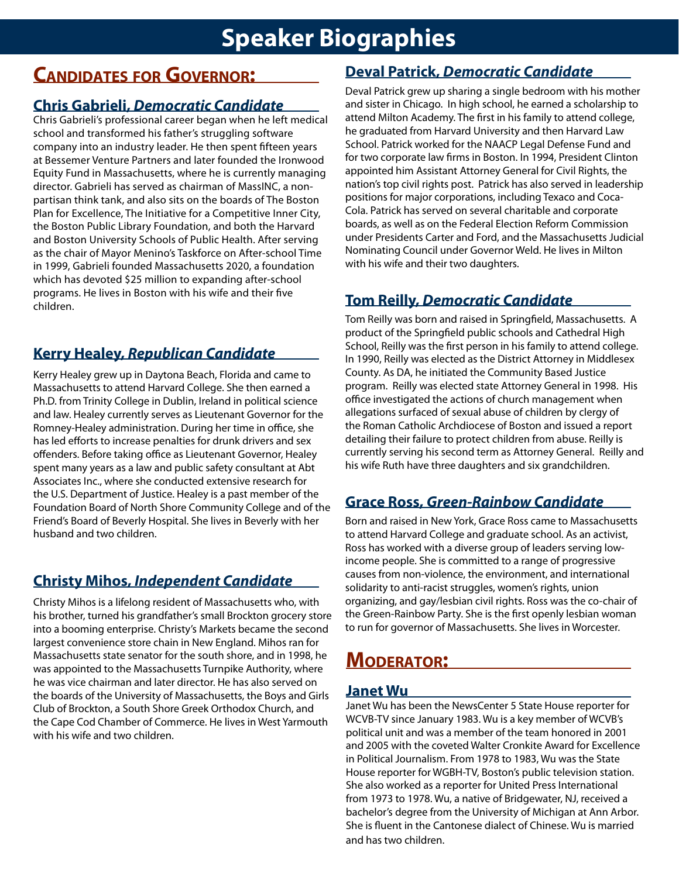### **Speaker Biographies**

### **Candidates for Governor:**

#### **Chris Gabrieli,** *Democratic Candidate*

Chris Gabrieli's professional career began when he left medical school and transformed his father's struggling software company into an industry leader. He then spent fifteen years at Bessemer Venture Partners and later founded the Ironwood Equity Fund in Massachusetts, where he is currently managing director. Gabrieli has served as chairman of MassINC, a nonpartisan think tank, and also sits on the boards of The Boston Plan for Excellence, The Initiative for a Competitive Inner City, the Boston Public Library Foundation, and both the Harvard and Boston University Schools of Public Health. After serving as the chair of Mayor Menino's Taskforce on After-school Time in 1999, Gabrieli founded Massachusetts 2020, a foundation which has devoted \$25 million to expanding after-school programs. He lives in Boston with his wife and their five children.

#### **Kerry Healey,** *Republican Candidate*

Kerry Healey grew up in Daytona Beach, Florida and came to Massachusetts to attend Harvard College. She then earned a Ph.D. from Trinity College in Dublin, Ireland in political science and law. Healey currently serves as Lieutenant Governor for the Romney-Healey administration. During her time in office, she has led efforts to increase penalties for drunk drivers and sex offenders. Before taking office as Lieutenant Governor, Healey spent many years as a law and public safety consultant at Abt Associates Inc., where she conducted extensive research for the U.S. Department of Justice. Healey is a past member of the Foundation Board of North Shore Community College and of the Friend's Board of Beverly Hospital. She lives in Beverly with her husband and two children.

### **Christy Mihos,** *Independent Candidate*

Christy Mihos is a lifelong resident of Massachusetts who, with his brother, turned his grandfather's small Brockton grocery store into a booming enterprise. Christy's Markets became the second largest convenience store chain in New England. Mihos ran for Massachusetts state senator for the south shore, and in 1998, he was appointed to the Massachusetts Turnpike Authority, where he was vice chairman and later director. He has also served on the boards of the University of Massachusetts, the Boys and Girls Club of Brockton, a South Shore Greek Orthodox Church, and the Cape Cod Chamber of Commerce. He lives in West Yarmouth with his wife and two children.

#### **Deval Patrick,** *Democratic Candidate*

Deval Patrick grew up sharing a single bedroom with his mother and sister in Chicago. In high school, he earned a scholarship to attend Milton Academy. The first in his family to attend college, he graduated from Harvard University and then Harvard Law School. Patrick worked for the NAACP Legal Defense Fund and for two corporate law firms in Boston. In 1994, President Clinton appointed him Assistant Attorney General for Civil Rights, the nation's top civil rights post. Patrick has also served in leadership positions for major corporations, including Texaco and Coca-Cola. Patrick has served on several charitable and corporate boards, as well as on the Federal Election Reform Commission under Presidents Carter and Ford, and the Massachusetts Judicial Nominating Council under Governor Weld. He lives in Milton with his wife and their two daughters.

#### **Tom Reilly,** *Democratic Candidate*

Tom Reilly was born and raised in Springfield, Massachusetts. A product of the Springfield public schools and Cathedral High School, Reilly was the first person in his family to attend college. In 1990, Reilly was elected as the District Attorney in Middlesex County. As DA, he initiated the Community Based Justice program. Reilly was elected state Attorney General in 1998. His office investigated the actions of church management when allegations surfaced of sexual abuse of children by clergy of the Roman Catholic Archdiocese of Boston and issued a report detailing their failure to protect children from abuse. Reilly is currently serving his second term as Attorney General. Reilly and his wife Ruth have three daughters and six grandchildren.

#### **Grace Ross,** *Green-Rainbow Candidate*

Born and raised in New York, Grace Ross came to Massachusetts to attend Harvard College and graduate school. As an activist, Ross has worked with a diverse group of leaders serving lowincome people. She is committed to a range of progressive causes from non-violence, the environment, and international solidarity to anti-racist struggles, women's rights, union organizing, and gay/lesbian civil rights. Ross was the co-chair of the Green-Rainbow Party. She is the first openly lesbian woman to run for governor of Massachusetts. She lives in Worcester.

### **Moderator:**

#### **Janet Wu**

Janet Wu has been the NewsCenter 5 State House reporter for WCVB-TV since January 1983. Wu is a key member of WCVB's political unit and was a member of the team honored in 2001 and 2005 with the coveted Walter Cronkite Award for Excellence in Political Journalism. From 1978 to 1983, Wu was the State House reporter for WGBH-TV, Boston's public television station. She also worked as a reporter for United Press International from 1973 to 1978. Wu, a native of Bridgewater, NJ, received a bachelor's degree from the University of Michigan at Ann Arbor. She is fluent in the Cantonese dialect of Chinese. Wu is married and has two children.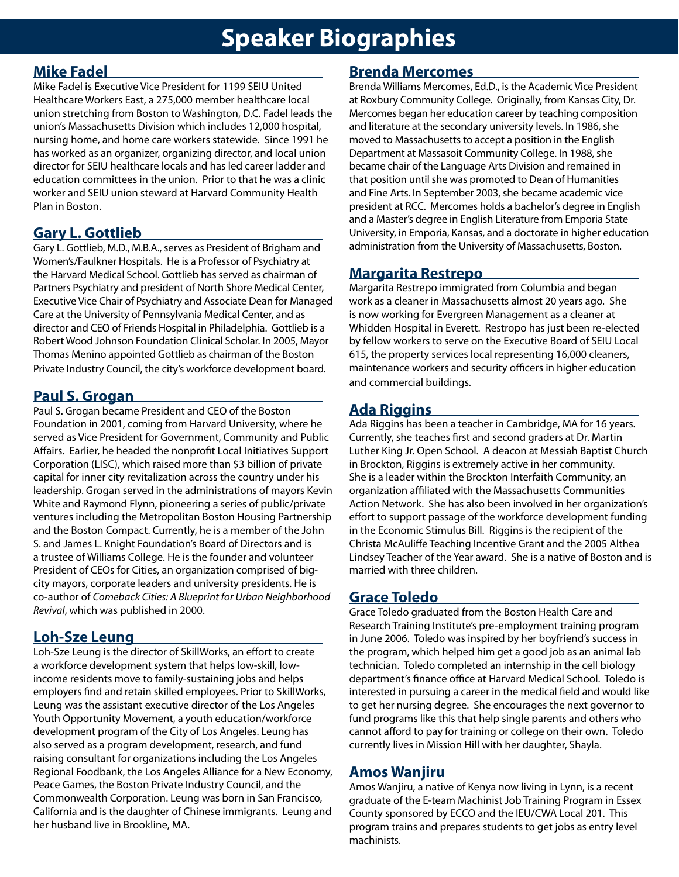## **Speaker Biographies**

#### **Mike Fadel**

Mike Fadel is Executive Vice President for 1199 SEIU United Healthcare Workers East, a 275,000 member healthcare local union stretching from Boston to Washington, D.C. Fadel leads the union's Massachusetts Division which includes 12,000 hospital, nursing home, and home care workers statewide. Since 1991 he has worked as an organizer, organizing director, and local union director for SEIU healthcare locals and has led career ladder and education committees in the union. Prior to that he was a clinic worker and SEIU union steward at Harvard Community Health Plan in Boston.

#### **Gary L. Gottlieb**

Gary L. Gottlieb, M.D., M.B.A., serves as President of Brigham and Women's/Faulkner Hospitals. He is a Professor of Psychiatry at the Harvard Medical School. Gottlieb has served as chairman of Partners Psychiatry and president of North Shore Medical Center, Executive Vice Chair of Psychiatry and Associate Dean for Managed Care at the University of Pennsylvania Medical Center, and as director and CEO of Friends Hospital in Philadelphia. Gottlieb is a Robert Wood Johnson Foundation Clinical Scholar. In 2005, Mayor Thomas Menino appointed Gottlieb as chairman of the Boston Private Industry Council, the city's workforce development board.

#### **Paul S. Grogan**

Paul S. Grogan became President and CEO of the Boston Foundation in 2001, coming from Harvard University, where he served as Vice President for Government, Community and Public Affairs. Earlier, he headed the nonprofit Local Initiatives Support Corporation (LISC), which raised more than \$3 billion of private capital for inner city revitalization across the country under his leadership. Grogan served in the administrations of mayors Kevin White and Raymond Flynn, pioneering a series of public/private ventures including the Metropolitan Boston Housing Partnership and the Boston Compact. Currently, he is a member of the John S. and James L. Knight Foundation's Board of Directors and is a trustee of Williams College. He is the founder and volunteer President of CEOs for Cities, an organization comprised of bigcity mayors, corporate leaders and university presidents. He is co-author of *Comeback Cities: A Blueprint for Urban Neighborhood Revival*, which was published in 2000.

#### **Loh-Sze Leung**

Loh-Sze Leung is the director of SkillWorks, an effort to create a workforce development system that helps low-skill, lowincome residents move to family-sustaining jobs and helps employers find and retain skilled employees. Prior to SkillWorks, Leung was the assistant executive director of the Los Angeles Youth Opportunity Movement, a youth education/workforce development program of the City of Los Angeles. Leung has also served as a program development, research, and fund raising consultant for organizations including the Los Angeles Regional Foodbank, the Los Angeles Alliance for a New Economy, Peace Games, the Boston Private Industry Council, and the Commonwealth Corporation. Leung was born in San Francisco, California and is the daughter of Chinese immigrants. Leung and her husband live in Brookline, MA.

#### **Brenda Mercomes**

Brenda Williams Mercomes, Ed.D., is the Academic Vice President at Roxbury Community College. Originally, from Kansas City, Dr. Mercomes began her education career by teaching composition and literature at the secondary university levels. In 1986, she moved to Massachusetts to accept a position in the English Department at Massasoit Community College. In 1988, she became chair of the Language Arts Division and remained in that position until she was promoted to Dean of Humanities and Fine Arts. In September 2003, she became academic vice president at RCC. Mercomes holds a bachelor's degree in English and a Master's degree in English Literature from Emporia State University, in Emporia, Kansas, and a doctorate in higher education administration from the University of Massachusetts, Boston.

#### **Margarita Restrepo**

Margarita Restrepo immigrated from Columbia and began work as a cleaner in Massachusetts almost 20 years ago. She is now working for Evergreen Management as a cleaner at Whidden Hospital in Everett. Restropo has just been re-elected by fellow workers to serve on the Executive Board of SEIU Local 615, the property services local representing 16,000 cleaners, maintenance workers and security officers in higher education and commercial buildings.

#### **Ada Riggins**

Ada Riggins has been a teacher in Cambridge, MA for 16 years. Currently, she teaches first and second graders at Dr. Martin Luther King Jr. Open School. A deacon at Messiah Baptist Church in Brockton, Riggins is extremely active in her community. She is a leader within the Brockton Interfaith Community, an organization affiliated with the Massachusetts Communities Action Network. She has also been involved in her organization's effort to support passage of the workforce development funding in the Economic Stimulus Bill. Riggins is the recipient of the Christa McAuliffe Teaching Incentive Grant and the 2005 Althea Lindsey Teacher of the Year award. She is a native of Boston and is married with three children.

#### **Grace Toledo**

Grace Toledo graduated from the Boston Health Care and Research Training Institute's pre-employment training program in June 2006. Toledo was inspired by her boyfriend's success in the program, which helped him get a good job as an animal lab technician. Toledo completed an internship in the cell biology department's finance office at Harvard Medical School. Toledo is interested in pursuing a career in the medical field and would like to get her nursing degree. She encourages the next governor to fund programs like this that help single parents and others who cannot afford to pay for training or college on their own. Toledo currently lives in Mission Hill with her daughter, Shayla.

#### **Amos Wanjiru**

Amos Wanjiru, a native of Kenya now living in Lynn, is a recent graduate of the E-team Machinist Job Training Program in Essex County sponsored by ECCO and the IEU/CWA Local 201. This program trains and prepares students to get jobs as entry level machinists.